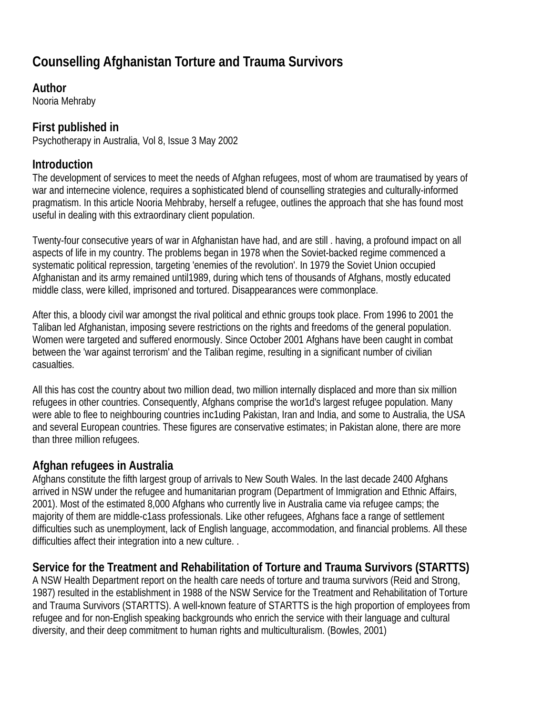# **Counselling Afghanistan Torture and Trauma Survivors**

# **Author**

Nooria Mehraby

# **First published in**

Psychotherapy in Australia, Vol 8, Issue 3 May 2002

# **Introduction**

The development of services to meet the needs of Afghan refugees, most of whom are traumatised by years of war and internecine violence, requires a sophisticated blend of counselling strategies and culturally-informed pragmatism. In this article Nooria Mehbraby, herself a refugee, outlines the approach that she has found most useful in dealing with this extraordinary client population.

Twenty-four consecutive years of war in Afghanistan have had, and are still . having, a profound impact on all aspects of life in my country. The problems began in 1978 when the Soviet-backed regime commenced a systematic political repression, targeting 'enemies of the revolution'. In 1979 the Soviet Union occupied Afghanistan and its army remained until1989, during which tens of thousands of Afghans, mostly educated middle class, were killed, imprisoned and tortured. Disappearances were commonplace.

After this, a bloody civil war amongst the rival political and ethnic groups took place. From 1996 to 2001 the Taliban led Afghanistan, imposing severe restrictions on the rights and freedoms of the general population. Women were targeted and suffered enormously. Since October 2001 Afghans have been caught in combat between the 'war against terrorism' and the Taliban regime, resulting in a significant number of civilian casualties.

All this has cost the country about two million dead, two million internally displaced and more than six million refugees in other countries. Consequently, Afghans comprise the wor1d's largest refugee population. Many were able to flee to neighbouring countries inc1uding Pakistan, Iran and India, and some to Australia, the USA and several European countries. These figures are conservative estimates; in Pakistan alone, there are more than three million refugees.

# **Afghan refugees in Australia**

Afghans constitute the fifth largest group of arrivals to New South Wales. In the last decade 2400 Afghans arrived in NSW under the refugee and humanitarian program (Department of Immigration and Ethnic Affairs, 2001). Most of the estimated 8,000 Afghans who currently live in Australia came via refugee camps; the majority of them are middle-c1ass professionals. Like other refugees, Afghans face a range of settlement difficulties such as unemployment, lack of English language, accommodation, and financial problems. All these difficulties affect their integration into a new culture. .

### **Service for the Treatment and Rehabilitation of Torture and Trauma Survivors (STARTTS)**

A NSW Health Department report on the health care needs of torture and trauma survivors (Reid and Strong, 1987) resulted in the establishment in 1988 of the NSW Service for the Treatment and Rehabilitation of Torture and Trauma Survivors (STARTTS). A well-known feature of STARTTS is the high proportion of employees from refugee and for non-English speaking backgrounds who enrich the service with their language and cultural diversity, and their deep commitment to human rights and multiculturalism. (Bowles, 2001)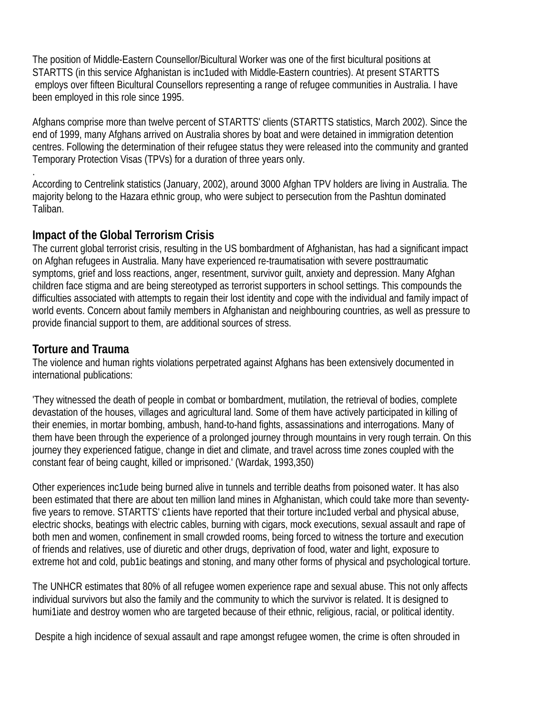The position of Middle-Eastern Counsellor/Bicultural Worker was one of the first bicultural positions at STARTTS (in this service Afghanistan is inc1uded with Middle-Eastern countries). At present STARTTS employs over fifteen Bicultural Counsellors representing a range of refugee communities in Australia. I have been employed in this role since 1995.

Afghans comprise more than twelve percent of STARTTS' clients (STARTTS statistics, March 2002). Since the end of 1999, many Afghans arrived on Australia shores by boat and were detained in immigration detention centres. Following the determination of their refugee status they were released into the community and granted Temporary Protection Visas (TPVs) for a duration of three years only.

. According to Centrelink statistics (January, 2002), around 3000 Afghan TPV holders are living in Australia. The majority belong to the Hazara ethnic group, who were subject to persecution from the Pashtun dominated Taliban.

### **Impact of the Global Terrorism Crisis**

The current global terrorist crisis, resulting in the US bombardment of Afghanistan, has had a significant impact on Afghan refugees in Australia. Many have experienced re-traumatisation with severe posttraumatic symptoms, grief and loss reactions, anger, resentment, survivor guilt, anxiety and depression. Many Afghan children face stigma and are being stereotyped as terrorist supporters in school settings. This compounds the difficulties associated with attempts to regain their lost identity and cope with the individual and family impact of world events. Concern about family members in Afghanistan and neighbouring countries, as well as pressure to provide financial support to them, are additional sources of stress.

### **Torture and Trauma**

The violence and human rights violations perpetrated against Afghans has been extensively documented in international publications:

'They witnessed the death of people in combat or bombardment, mutilation, the retrieval of bodies, complete devastation of the houses, villages and agricultural land. Some of them have actively participated in killing of their enemies, in mortar bombing, ambush, hand-to-hand fights, assassinations and interrogations. Many of them have been through the experience of a prolonged journey through mountains in very rough terrain. On this journey they experienced fatigue, change in diet and climate, and travel across time zones coupled with the constant fear of being caught, killed or imprisoned.' (Wardak, 1993,350)

Other experiences inc1ude being burned alive in tunnels and terrible deaths from poisoned water. It has also been estimated that there are about ten million land mines in Afghanistan, which could take more than seventyfive years to remove. STARTTS' c1ients have reported that their torture inc1uded verbal and physical abuse, electric shocks, beatings with electric cables, burning with cigars, mock executions, sexual assault and rape of both men and women, confinement in small crowded rooms, being forced to witness the torture and execution of friends and relatives, use of diuretic and other drugs, deprivation of food, water and light, exposure to extreme hot and cold, pub1ic beatings and stoning, and many other forms of physical and psychological torture.

The UNHCR estimates that 80% of all refugee women experience rape and sexual abuse. This not only affects individual survivors but also the family and the community to which the survivor is related. It is designed to humi1iate and destroy women who are targeted because of their ethnic, religious, racial, or political identity.

Despite a high incidence of sexual assault and rape amongst refugee women, the crime is often shrouded in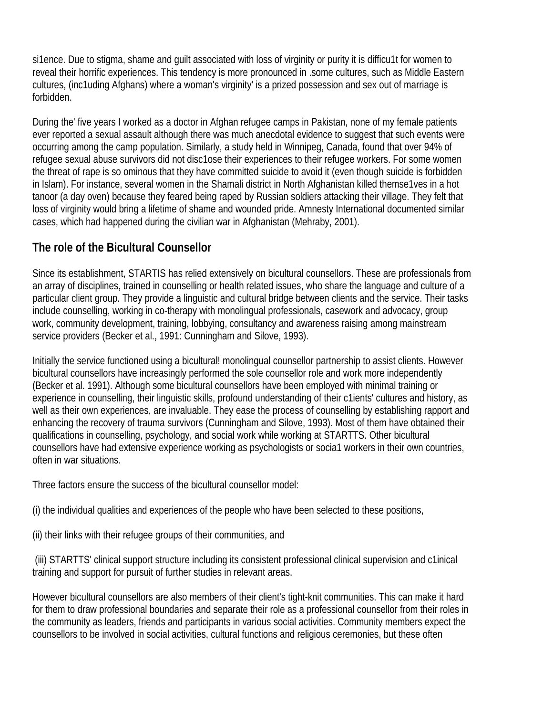si1ence. Due to stigma, shame and guilt associated with loss of virginity or purity it is difficu1t for women to reveal their horrific experiences. This tendency is more pronounced in .some cultures, such as Middle Eastern cultures, (inc1uding Afghans) where a woman's virginity' is a prized possession and sex out of marriage is forbidden.

During the' five years I worked as a doctor in Afghan refugee camps in Pakistan, none of my female patients ever reported a sexual assault although there was much anecdotal evidence to suggest that such events were occurring among the camp population. Similarly, a study held in Winnipeg, Canada, found that over 94% of refugee sexual abuse survivors did not disc1ose their experiences to their refugee workers. For some women the threat of rape is so ominous that they have committed suicide to avoid it (even though suicide is forbidden in Islam). For instance, several women in the Shamali district in North Afghanistan killed themse1ves in a hot tanoor (a day oven) because they feared being raped by Russian soldiers attacking their village. They felt that loss of virginity would bring a lifetime of shame and wounded pride. Amnesty International documented similar cases, which had happened during the civilian war in Afghanistan (Mehraby, 2001).

# **The role of the Bicultural Counsellor**

Since its establishment, STARTIS has relied extensively on bicultural counsellors. These are professionals from an array of disciplines, trained in counselling or health related issues, who share the language and culture of a particular client group. They provide a linguistic and cultural bridge between clients and the service. Their tasks include counselling, working in co-therapy with monolingual professionals, casework and advocacy, group work, community development, training, lobbying, consultancy and awareness raising among mainstream service providers (Becker et al., 1991: Cunningham and Silove, 1993).

Initially the service functioned using a bicultural! monolingual counsellor partnership to assist clients. However bicultural counsellors have increasingly performed the sole counsellor role and work more independently (Becker et al. 1991). Although some bicultural counsellors have been employed with minimal training or experience in counselling, their linguistic skills, profound understanding of their c1ients' cultures and history, as well as their own experiences, are invaluable. They ease the process of counselling by establishing rapport and enhancing the recovery of trauma survivors (Cunningham and Silove, 1993). Most of them have obtained their qualifications in counselling, psychology, and social work while working at STARTTS. Other bicultural counsellors have had extensive experience working as psychologists or socia1 workers in their own countries, often in war situations.

Three factors ensure the success of the bicultural counsellor model:

(i) the individual qualities and experiences of the people who have been selected to these positions,

(ii) their links with their refugee groups of their communities, and

 (iii) STARTTS' clinical support structure including its consistent professional clinical supervision and c1inical training and support for pursuit of further studies in relevant areas.

However bicultural counsellors are also members of their client's tight-knit communities. This can make it hard for them to draw professional boundaries and separate their role as a professional counsellor from their roles in the community as leaders, friends and participants in various social activities. Community members expect the counsellors to be involved in social activities, cultural functions and religious ceremonies, but these often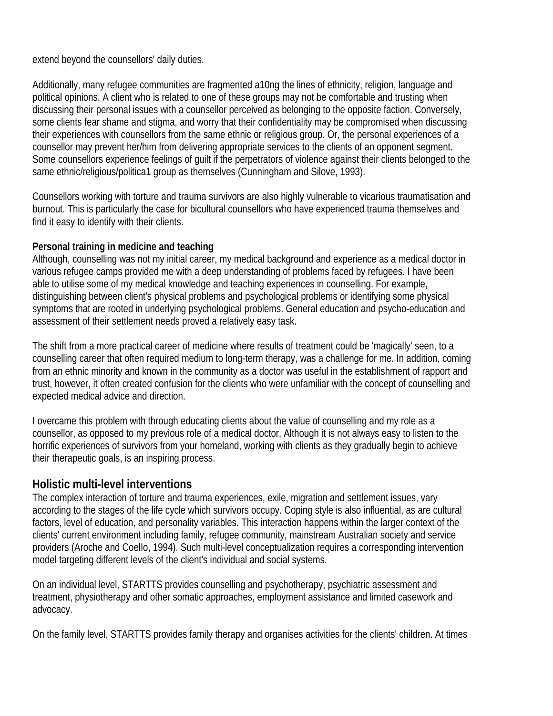extend beyond the counsellors' daily duties.

Additionally, many refugee communities are fragmented a10ng the lines of ethnicity, religion, language and political opinions. A client who is related to one of these groups may not be comfortable and trusting when discussing their personal issues with a counsellor perceived as belonging to the opposite faction. Conversely, some clients fear shame and stigma, and worry that their confidentiality may be compromised when discussing their experiences with counsellors from the same ethnic or religious group. Or, the personal experiences of a counsellor may prevent her/him from delivering appropriate services to the clients of an opponent segment. Some counsellors experience feelings of guilt if the perpetrators of violence against their clients belonged to the same ethnic/religious/politica1 group as themselves (Cunningham and Silove, 1993).

Counsellors working with torture and trauma survivors are also highly vulnerable to vicarious traumatisation and burnout. This is particularly the case for bicultural counsellors who have experienced trauma themselves and find it easy to identify with their clients.

#### **Personal training in medicine and teaching**

Although, counselling was not my initial career, my medical background and experience as a medical doctor in various refugee camps provided me with a deep understanding of problems faced by refugees. I have been able to utilise some of my medical knowledge and teaching experiences in counselling. For example, distinguishing between client's physical problems and psychological problems or identifying some physical symptoms that are rooted in underlying psychological problems. General education and psycho-education and assessment of their settlement needs proved a relatively easy task.

The shift from a more practical career of medicine where results of treatment could be 'magically' seen, to a counselling career that often required medium to long-term therapy, was a challenge for me. In addition, coming from an ethnic minority and known in the community as a doctor was useful in the establishment of rapport and trust, however, it often created confusion for the clients who were unfamiliar with the concept of counselling and expected medical advice and direction.

I overcame this problem with through educating clients about the value of counselling and my role as a counsellor, as opposed to my previous role of a medical doctor. Although it is not always easy to listen to the horrific experiences of survivors from your homeland, working with clients as they gradually begin to achieve their therapeutic goals, is an inspiring process.

### **Holistic multi-level interventions**

The complex interaction of torture and trauma experiences, exile, migration and settlement issues, vary according to the stages of the life cycle which survivors occupy. Coping style is also influential, as are cultural factors, level of education, and personality variables. This interaction happens within the larger context of the clients' current environment including family, refugee community, mainstream Australian society and service providers (Aroche and CoelIo, 1994). Such multi-level conceptualization requires a corresponding intervention model targeting different levels of the client's individual and social systems.

On an individual level, STARTTS provides counselling and psychotherapy, psychiatric assessment and treatment, physiotherapy and other somatic approaches, employment assistance and limited casework and advocacy.

On the family level, STARTTS provides family therapy and organises activities for the clients' children. At times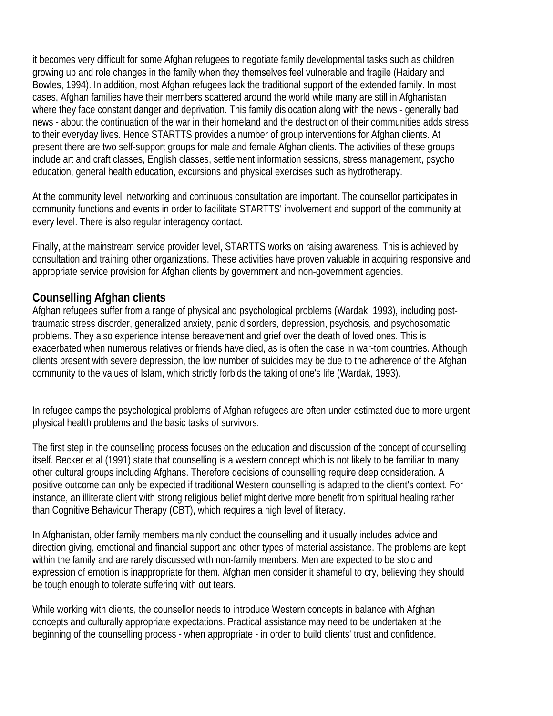it becomes very difficult for some Afghan refugees to negotiate family developmental tasks such as children growing up and role changes in the family when they themselves feel vulnerable and fragile (Haidary and Bowles, 1994). In addition, most Afghan refugees lack the traditional support of the extended family. In most cases, Afghan families have their members scattered around the world while many are still in Afghanistan where they face constant danger and deprivation. This family dislocation along with the news - generally bad news - about the continuation of the war in their homeland and the destruction of their communities adds stress to their everyday lives. Hence STARTTS provides a number of group interventions for Afghan clients. At present there are two self-support groups for male and female Afghan clients. The activities of these groups include art and craft classes, English classes, settlement information sessions, stress management, psycho education, general health education, excursions and physical exercises such as hydrotherapy.

At the community level, networking and continuous consultation are important. The counsellor participates in community functions and events in order to facilitate STARTTS' involvement and support of the community at every level. There is also regular interagency contact.

Finally, at the mainstream service provider level, STARTTS works on raising awareness. This is achieved by consultation and training other organizations. These activities have proven valuable in acquiring responsive and appropriate service provision for Afghan clients by government and non-government agencies.

### **Counselling Afghan clients**

Afghan refugees suffer from a range of physical and psychological problems (Wardak, 1993), including posttraumatic stress disorder, generalized anxiety, panic disorders, depression, psychosis, and psychosomatic problems. They also experience intense bereavement and grief over the death of loved ones. This is exacerbated when numerous relatives or friends have died, as is often the case in war-tom countries. Although clients present with severe depression, the low number of suicides may be due to the adherence of the Afghan community to the values of Islam, which strictly forbids the taking of one's life (Wardak, 1993).

In refugee camps the psychological problems of Afghan refugees are often under-estimated due to more urgent physical health problems and the basic tasks of survivors.

The first step in the counselling process focuses on the education and discussion of the concept of counselling itself. Becker et al (1991) state that counselling is a western concept which is not likely to be familiar to many other cultural groups including Afghans. Therefore decisions of counselling require deep consideration. A positive outcome can only be expected if traditional Western counselling is adapted to the client's context. For instance, an illiterate client with strong religious belief might derive more benefit from spiritual healing rather than Cognitive Behaviour Therapy (CBT), which requires a high level of literacy.

In Afghanistan, older family members mainly conduct the counselling and it usually includes advice and direction giving, emotional and financial support and other types of material assistance. The problems are kept within the family and are rarely discussed with non-family members. Men are expected to be stoic and expression of emotion is inappropriate for them. Afghan men consider it shameful to cry, believing they should be tough enough to tolerate suffering with out tears.

While working with clients, the counsellor needs to introduce Western concepts in balance with Afghan concepts and culturally appropriate expectations. Practical assistance may need to be undertaken at the beginning of the counselling process - when appropriate - in order to build clients' trust and confidence.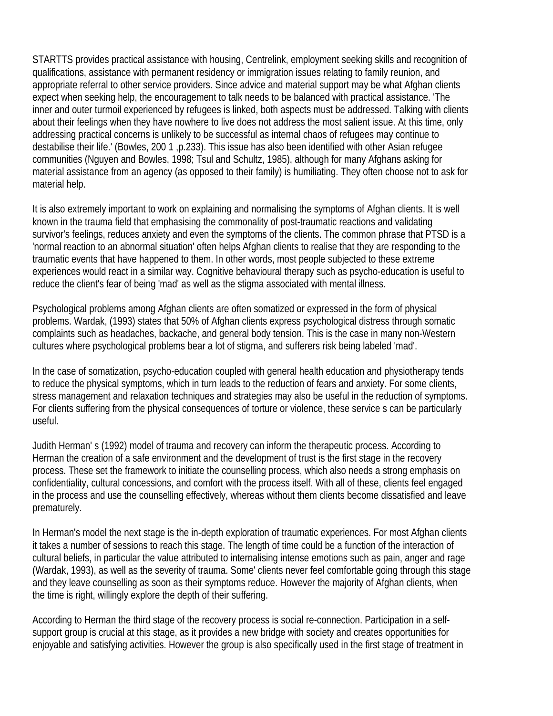STARTTS provides practical assistance with housing, Centrelink, employment seeking skills and recognition of qualifications, assistance with permanent residency or immigration issues relating to family reunion, and appropriate referral to other service providers. Since advice and material support may be what Afghan clients expect when seeking help, the encouragement to talk needs to be balanced with practical assistance. 'The inner and outer turmoil experienced by refugees is linked, both aspects must be addressed. Talking with clients about their feelings when they have nowhere to live does not address the most salient issue. At this time, only addressing practical concerns is unlikely to be successful as internal chaos of refugees may continue to destabilise their life.' (Bowles, 200 1 ,p.233). This issue has also been identified with other Asian refugee communities (Nguyen and Bowles, 1998; Tsul and Schultz, 1985), although for many Afghans asking for material assistance from an agency (as opposed to their family) is humiliating. They often choose not to ask for material help.

It is also extremely important to work on explaining and normalising the symptoms of Afghan clients. It is well known in the trauma field that emphasising the commonality of post-traumatic reactions and validating survivor's feelings, reduces anxiety and even the symptoms of the clients. The common phrase that PTSD is a 'normal reaction to an abnormal situation' often helps Afghan clients to realise that they are responding to the traumatic events that have happened to them. In other words, most people subjected to these extreme experiences would react in a similar way. Cognitive behavioural therapy such as psycho-education is useful to reduce the client's fear of being 'mad' as well as the stigma associated with mental illness.

Psychological problems among Afghan clients are often somatized or expressed in the form of physical problems. Wardak, (1993) states that 50% of Afghan clients express psychological distress through somatic complaints such as headaches, backache, and general body tension. This is the case in many non-Western cultures where psychological problems bear a lot of stigma, and sufferers risk being labeled 'mad'.

In the case of somatization, psycho-education coupled with general health education and physiotherapy tends to reduce the physical symptoms, which in turn leads to the reduction of fears and anxiety. For some clients, stress management and relaxation techniques and strategies may also be useful in the reduction of symptoms. For clients suffering from the physical consequences of torture or violence, these service s can be particularly useful.

Judith Herman' s (1992) model of trauma and recovery can inform the therapeutic process. According to Herman the creation of a safe environment and the development of trust is the first stage in the recovery process. These set the framework to initiate the counselling process, which also needs a strong emphasis on confidentiality, cultural concessions, and comfort with the process itself. With all of these, clients feel engaged in the process and use the counselling effectively, whereas without them clients become dissatisfied and leave prematurely.

In Herman's model the next stage is the in-depth exploration of traumatic experiences. For most Afghan clients it takes a number of sessions to reach this stage. The length of time could be a function of the interaction of cultural beliefs, in particular the value attributed to internalising intense emotions such as pain, anger and rage (Wardak, 1993), as well as the severity of trauma. Some' clients never feel comfortable going through this stage and they leave counselling as soon as their symptoms reduce. However the majority of Afghan clients, when the time is right, willingly explore the depth of their suffering.

According to Herman the third stage of the recovery process is social re-connection. Participation in a selfsupport group is crucial at this stage, as it provides a new bridge with society and creates opportunities for enjoyable and satisfying activities. However the group is also specifically used in the first stage of treatment in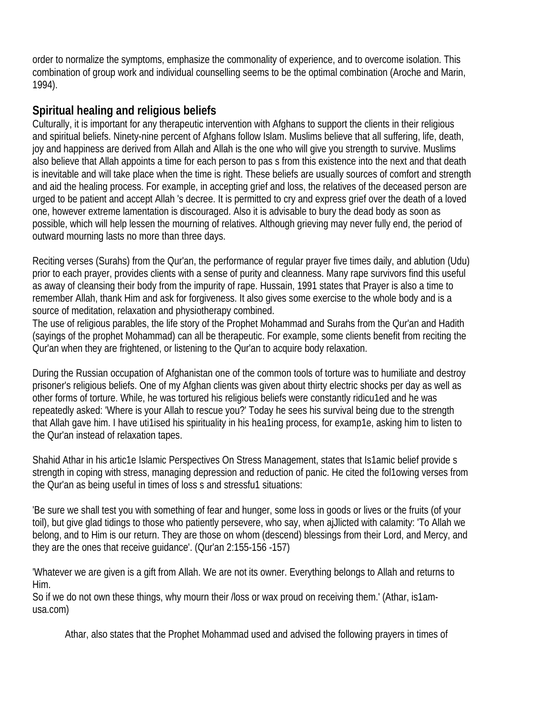order to normalize the symptoms, emphasize the commonality of experience, and to overcome isolation. This combination of group work and individual counselling seems to be the optimal combination (Aroche and Marin, 1994).

# **Spiritual healing and religious beliefs**

Culturally, it is important for any therapeutic intervention with Afghans to support the clients in their religious and spiritual beliefs. Ninety-nine percent of Afghans follow Islam. Muslims believe that all suffering, life, death, joy and happiness are derived from Allah and Allah is the one who will give you strength to survive. Muslims also believe that Allah appoints a time for each person to pas s from this existence into the next and that death is inevitable and will take place when the time is right. These beliefs are usually sources of comfort and strength and aid the healing process. For example, in accepting grief and loss, the relatives of the deceased person are urged to be patient and accept Allah 's decree. It is permitted to cry and express grief over the death of a loved one, however extreme lamentation is discouraged. Also it is advisable to bury the dead body as soon as possible, which will help lessen the mourning of relatives. Although grieving may never fully end, the period of outward mourning lasts no more than three days.

Reciting verses (Surahs) from the Qur'an, the performance of regular prayer five times daily, and ablution (Udu) prior to each prayer, provides clients with a sense of purity and cleanness. Many rape survivors find this useful as away of cleansing their body from the impurity of rape. Hussain, 1991 states that Prayer is also a time to remember Allah, thank Him and ask for forgiveness. It also gives some exercise to the whole body and is a source of meditation, relaxation and physiotherapy combined.

The use of religious parables, the life story of the Prophet Mohammad and Surahs from the Qur'an and Hadith (sayings of the prophet Mohammad) can all be therapeutic. For example, some clients benefit from reciting the Qur'an when they are frightened, or listening to the Qur'an to acquire body relaxation.

During the Russian occupation of Afghanistan one of the common tools of torture was to humiliate and destroy prisoner's religious beliefs. One of my Afghan clients was given about thirty electric shocks per day as well as other forms of torture. While, he was tortured his religious beliefs were constantly ridicu1ed and he was repeatedly asked: 'Where is your Allah to rescue you?' Today he sees his survival being due to the strength that Allah gave him. I have uti1ised his spirituality in his hea1ing process, for examp1e, asking him to listen to the Qur'an instead of relaxation tapes.

Shahid Athar in his artic1e Islamic Perspectives On Stress Management, states that Is1amic belief provide s strength in coping with stress, managing depression and reduction of panic. He cited the fol1owing verses from the Qur'an as being useful in times of loss s and stressfu1 situations:

'Be sure we shall test you with something of fear and hunger, some loss in goods or lives or the fruits (of your toil), but give glad tidings to those who patiently persevere, who say, when ajJlicted with calamity: 'To Allah we belong, and to Him is our return. They are those on whom (descend) blessings from their Lord, and Mercy, and they are the ones that receive guidance'. (Qur'an 2:155-156 -157)

'Whatever we are given is a gift from Allah. We are not its owner. Everything belongs to Allah and returns to Him.

So if we do not own these things, why mourn their /loss or wax proud on receiving them.' (Athar, is1amusa.com)

Athar, also states that the Prophet Mohammad used and advised the following prayers in times of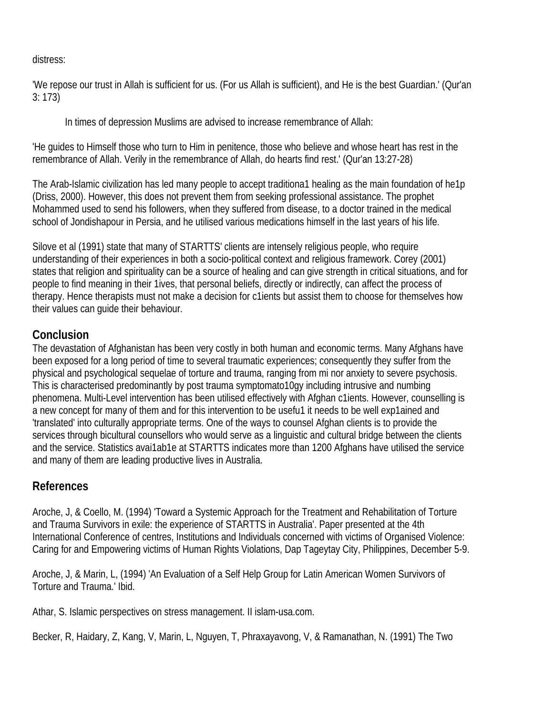distress:

'We repose our trust in Allah is sufficient for us. (For us Allah is sufficient), and He is the best Guardian.' (Qur'an 3: 173)

In times of depression Muslims are advised to increase remembrance of Allah:

'He guides to Himself those who turn to Him in penitence, those who believe and whose heart has rest in the remembrance of Allah. Verily in the remembrance of Allah, do hearts find rest.' (Qur'an 13:27-28)

The Arab-Islamic civilization has led many people to accept traditiona1 healing as the main foundation of he1p (Driss, 2000). However, this does not prevent them from seeking professional assistance. The prophet Mohammed used to send his followers, when they suffered from disease, to a doctor trained in the medical school of Jondishapour in Persia, and he utilised various medications himself in the last years of his life.

Silove et al (1991) state that many of STARTTS' clients are intensely religious people, who require understanding of their experiences in both a socio-political context and religious framework. Corey (2001) states that religion and spirituality can be a source of healing and can give strength in critical situations, and for people to find meaning in their 1ives, that personal beliefs, directly or indirectly, can affect the process of therapy. Hence therapists must not make a decision for c1ients but assist them to choose for themselves how their values can guide their behaviour.

# **Conclusion**

The devastation of Afghanistan has been very costly in both human and economic terms. Many Afghans have been exposed for a long period of time to several traumatic experiences; consequently they suffer from the physical and psychological sequelae of torture and trauma, ranging from mi nor anxiety to severe psychosis. This is characterised predominantly by post trauma symptomato10gy including intrusive and numbing phenomena. Multi-Level intervention has been utilised effectively with Afghan c1ients. However, counselling is a new concept for many of them and for this intervention to be usefu1 it needs to be well exp1ained and 'translated' into culturally appropriate terms. One of the ways to counsel Afghan clients is to provide the services through bicultural counsellors who would serve as a linguistic and cultural bridge between the clients and the service. Statistics avai1ab1e at STARTTS indicates more than 1200 Afghans have utilised the service and many of them are leading productive lives in Australia.

# **References**

Aroche, J, & Coello, M. (1994) 'Toward a Systemic Approach for the Treatment and Rehabilitation of Torture and Trauma Survivors in exile: the experience of STARTTS in Australia'. Paper presented at the 4th International Conference of centres, Institutions and Individuals concerned with victims of Organised Violence: Caring for and Empowering victims of Human Rights Violations, Dap Tageytay City, Philippines, December 5-9.

Aroche, J, & Marin, L, (1994) 'An Evaluation of a Self Help Group for Latin American Women Survivors of Torture and Trauma.' Ibid.

Athar, S. Islamic perspectives on stress management. II islam-usa.com.

Becker, R, Haidary, Z, Kang, V, Marin, L, Nguyen, T, Phraxayavong, V, & Ramanathan, N. (1991) The Two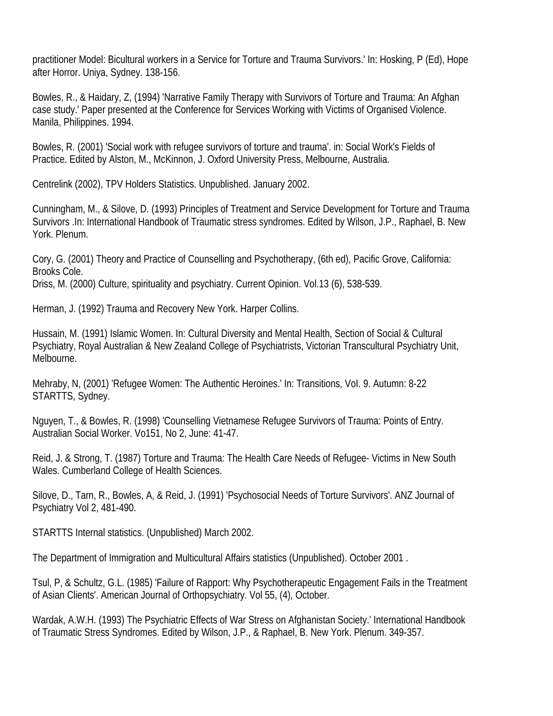practitioner Model: Bicultural workers in a Service for Torture and Trauma Survivors.' In: Hosking, P (Ed), Hope after Horror. Uniya, Sydney. 138-156.

Bowles, R., & Haidary, Z, (1994) 'Narrative Family Therapy with Survivors of Torture and Trauma: An Afghan case study.' Paper presented at the Conference for Services Working with Victims of Organised Violence. Manila, Philippines. 1994.

Bowles, R. (2001) 'Social work with refugee survivors of torture and trauma'. in: Social Work's Fields of Practice. Edited by Alston, M., McKinnon, J. Oxford University Press, Melbourne, Australia.

Centrelink (2002), TPV Holders Statistics. Unpublished. January 2002.

Cunningham, M., & Silove, D. (1993) Principles of Treatment and Service Development for Torture and Trauma Survivors .In: International Handbook of Traumatic stress syndromes. Edited by Wilson, J.P., Raphael, B. New York. Plenum.

Cory, G. (2001) Theory and Practice of Counselling and Psychotherapy, (6th ed), Pacific Grove, California: Brooks Cole.

Driss, M. (2000) Culture, spirituality and psychiatry. Current Opinion. Vol.13 (6), 538-539.

Herman, J. (1992) Trauma and Recovery New York. Harper Collins.

Hussain, M. (1991) Islamic Women. In: Cultural Diversity and Mental Health, Section of Social & Cultural Psychiatry, Royal Australian & New Zealand College of Psychiatrists, Victorian Transcultural Psychiatry Unit, Melbourne.

Mehraby, N, (2001) 'Refugee Women: The Authentic Heroines.' In: Transitions, VoI. 9. Autumn: 8-22 STARTTS, Sydney.

Nguyen, T., & Bowles, R. (1998) 'Counselling Vietnamese Refugee Survivors of Trauma: Points of Entry. Australian Social Worker. Vo151, No 2, June: 41-47.

Reid, J. & Strong, T. (1987) Torture and Trauma: The Health Care Needs of Refugee- Victims in New South Wales. Cumberland College of Health Sciences.

Silove, D., Tarn, R., Bowles, A, & Reid, J. (1991) 'Psychosocial Needs of Torture Survivors'. ANZ Journal of Psychiatry Vol 2, 481-490.

STARTTS Internal statistics. (Unpublished) March 2002.

The Department of Immigration and Multicultural Affairs statistics (Unpublished). October 2001 .

Tsul, P, & Schultz, G.L. (1985) 'Failure of Rapport: Why Psychotherapeutic Engagement Fails in the Treatment of Asian Clients'. American Journal of Orthopsychiatry. Vol 55, (4), October.

Wardak, A.W.H. (1993) The Psychiatric Effects of War Stress on Afghanistan Society.' International Handbook of Traumatic Stress Syndromes. Edited by Wilson, J.P., & Raphael, B. New York. Plenum. 349-357.